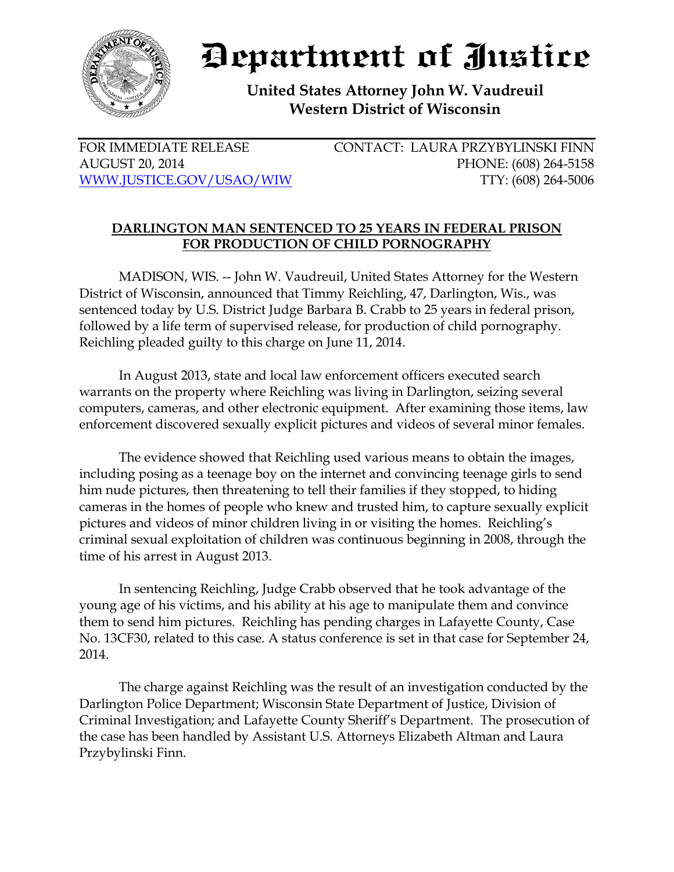

## Department of Justice

**United States Attorney John W. Vaudreuil Western District of Wisconsin**

FOR IMMEDIATE RELEASE CONTACT: LAURA PRZYBYLINSKI FINN AUGUST 20, 2014 PHONE: (608) 264-5158 [WWW.JUSTICE.GOV/USAO/WIW](http://www.justice.gov/USAO/WIW) TTY: (608) 264-5006

## **DARLINGTON MAN SENTENCED TO 25 YEARS IN FEDERAL PRISON FOR PRODUCTION OF CHILD PORNOGRAPHY**

MADISON, WIS. -- John W. Vaudreuil, United States Attorney for the Western District of Wisconsin, announced that Timmy Reichling, 47, Darlington, Wis., was sentenced today by U.S. District Judge Barbara B. Crabb to 25 years in federal prison, followed by a life term of supervised release, for production of child pornography. Reichling pleaded guilty to this charge on June 11, 2014.

In August 2013, state and local law enforcement officers executed search warrants on the property where Reichling was living in Darlington, seizing several computers, cameras, and other electronic equipment. After examining those items, law enforcement discovered sexually explicit pictures and videos of several minor females.

The evidence showed that Reichling used various means to obtain the images, including posing as a teenage boy on the internet and convincing teenage girls to send him nude pictures, then threatening to tell their families if they stopped, to hiding cameras in the homes of people who knew and trusted him, to capture sexually explicit pictures and videos of minor children living in or visiting the homes. Reichling's criminal sexual exploitation of children was continuous beginning in 2008, through the time of his arrest in August 2013.

In sentencing Reichling, Judge Crabb observed that he took advantage of the young age of his victims, and his ability at his age to manipulate them and convince them to send him pictures. Reichling has pending charges in Lafayette County, Case No. 13CF30, related to this case. A status conference is set in that case for September 24, 2014.

The charge against Reichling was the result of an investigation conducted by the Darlington Police Department; Wisconsin State Department of Justice, Division of Criminal Investigation; and Lafayette County Sheriff's Department. The prosecution of the case has been handled by Assistant U.S. Attorneys Elizabeth Altman and Laura Przybylinski Finn.